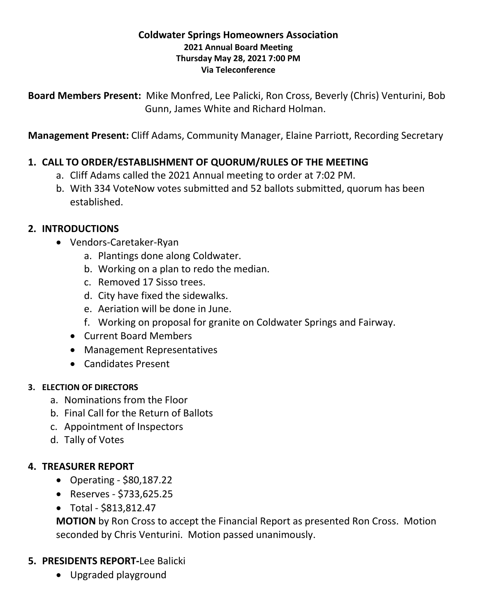#### **Coldwater Springs Homeowners Association 2021 Annual Board Meeting Thursday May 28, 2021 7:00 PM Via Teleconference**

**Board Members Present:** Mike Monfred, Lee Palicki, Ron Cross, Beverly (Chris) Venturini, Bob Gunn, James White and Richard Holman.

**Management Present:** Cliff Adams, Community Manager, Elaine Parriott, Recording Secretary

# **1. CALL TO ORDER/ESTABLISHMENT OF QUORUM/RULES OF THE MEETING**

- a. Cliff Adams called the 2021 Annual meeting to order at 7:02 PM.
- b. With 334 VoteNow votes submitted and 52 ballots submitted, quorum has been established.

#### **2. INTRODUCTIONS**

- Vendors-Caretaker-Ryan
	- a. Plantings done along Coldwater.
	- b. Working on a plan to redo the median.
	- c. Removed 17 Sisso trees.
	- d. City have fixed the sidewalks.
	- e. Aeriation will be done in June.
	- f. Working on proposal for granite on Coldwater Springs and Fairway.
	- Current Board Members
	- Management Representatives
	- Candidates Present

#### **3. ELECTION OF DIRECTORS**

- a. Nominations from the Floor
- b. Final Call for the Return of Ballots
- c. Appointment of Inspectors
- d. Tally of Votes

### **4. TREASURER REPORT**

- Operating \$80,187.22
- Reserves \$733,625.25
- Total \$813,812.47

**MOTION** by Ron Cross to accept the Financial Report as presented Ron Cross. Motion seconded by Chris Venturini. Motion passed unanimously.

### **5. PRESIDENTS REPORT-**Lee Balicki

• Upgraded playground